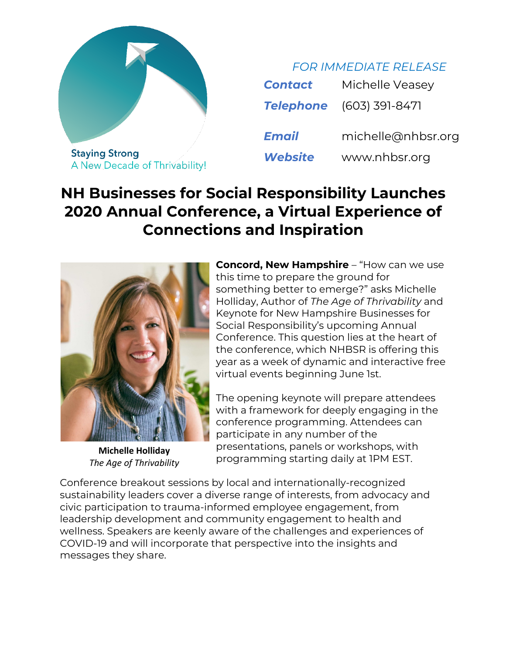

*FOR IMMEDIATE RELEASE*

| <b>Contact</b>   | Michelle Veasey    |
|------------------|--------------------|
| <b>Telephone</b> | (603) 391-8471     |
| <b>Email</b>     | michelle@nhbsr.org |
| Website          | www.nhbsr.org      |

## **NH Businesses for Social Responsibility Launches 2020 Annual Conference, a Virtual Experience of Connections and Inspiration**



**Michelle Holliday** *The Age of Thrivability*

**Concord, New Hampshire** – "How can we use this time to prepare the ground for something better to emerge?" asks Michelle Holliday, Author of *The Age of Thrivability* and Keynote for New Hampshire Businesses for Social Responsibility's upcoming Annual Conference. This question lies at the heart of the conference, which NHBSR is offering this year as a week of dynamic and interactive free virtual events beginning June 1st.

The opening keynote will prepare attendees with a framework for deeply engaging in the conference programming. Attendees can participate in any number of the presentations, panels or workshops, with programming starting daily at 1PM EST.

Conference breakout sessions by local and internationally-recognized sustainability leaders cover a diverse range of interests, from advocacy and civic participation to trauma-informed employee engagement, from leadership development and community engagement to health and wellness. Speakers are keenly aware of the challenges and experiences of COVID-19 and will incorporate that perspective into the insights and messages they share.